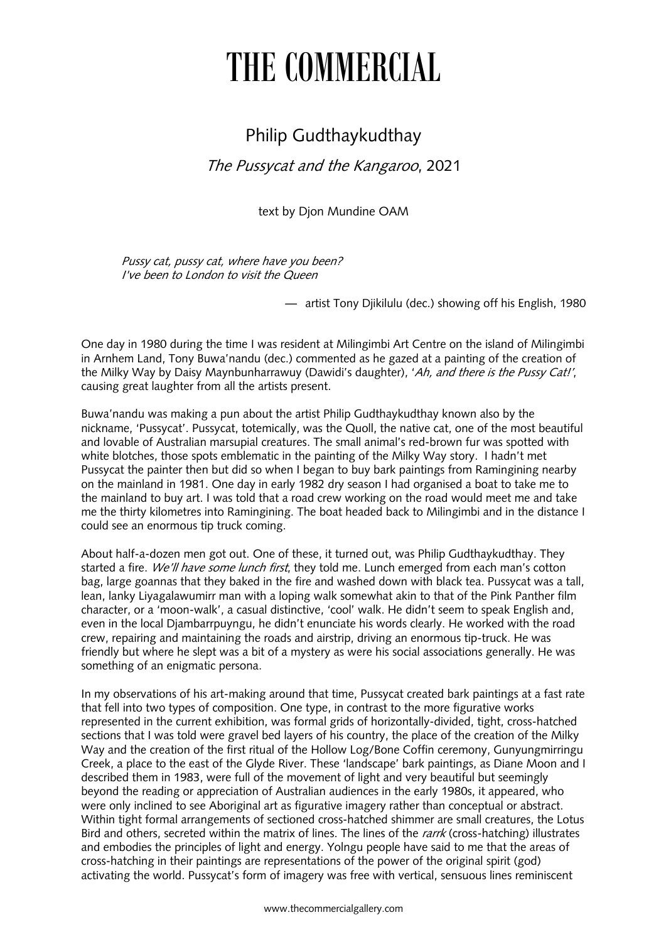## THE COMMERCIAL

## Philip Gudthaykudthay

The Pussycat and the Kangaroo, 2021

text by Djon Mundine OAM

Pussy cat, pussy cat, where have you been? I've been to London to visit the Queen

— artist Tony Djikilulu (dec.) showing off his English, 1980

One day in 1980 during the time I was resident at Milingimbi Art Centre on the island of Milingimbi in Arnhem Land, Tony Buwa'nandu (dec.) commented as he gazed at a painting of the creation of the Milky Way by Daisy Maynbunharrawuy (Dawidi's daughter), 'Ah, and there is the Pussy Cat!', causing great laughter from all the artists present.

Buwa'nandu was making a pun about the artist Philip Gudthaykudthay known also by the nickname, 'Pussycat'. Pussycat, totemically, was the Quoll, the native cat, one of the most beautiful and lovable of Australian marsupial creatures. The small animal's red-brown fur was spotted with white blotches, those spots emblematic in the painting of the Milky Way story. I hadn't met Pussycat the painter then but did so when I began to buy bark paintings from Ramingining nearby on the mainland in 1981. One day in early 1982 dry season I had organised a boat to take me to the mainland to buy art. I was told that a road crew working on the road would meet me and take me the thirty kilometres into Ramingining. The boat headed back to Milingimbi and in the distance I could see an enormous tip truck coming.

About half-a-dozen men got out. One of these, it turned out, was Philip Gudthaykudthay. They started a fire. We'll have some lunch first, they told me. Lunch emerged from each man's cotton bag, large goannas that they baked in the fire and washed down with black tea. Pussycat was a tall, lean, lanky Liyagalawumirr man with a loping walk somewhat akin to that of the Pink Panther film character, or a 'moon-walk', a casual distinctive, 'cool' walk. He didn't seem to speak English and, even in the local Djambarrpuyngu, he didn't enunciate his words clearly. He worked with the road crew, repairing and maintaining the roads and airstrip, driving an enormous tip-truck. He was friendly but where he slept was a bit of a mystery as were his social associations generally. He was something of an enigmatic persona.

In my observations of his art-making around that time, Pussycat created bark paintings at a fast rate that fell into two types of composition. One type, in contrast to the more figurative works represented in the current exhibition, was formal grids of horizontally-divided, tight, cross-hatched sections that I was told were gravel bed layers of his country, the place of the creation of the Milky Way and the creation of the first ritual of the Hollow Log/Bone Coffin ceremony, Gunyungmirringu Creek, a place to the east of the Glyde River. These 'landscape' bark paintings, as Diane Moon and I described them in 1983, were full of the movement of light and very beautiful but seemingly beyond the reading or appreciation of Australian audiences in the early 1980s, it appeared, who were only inclined to see Aboriginal art as figurative imagery rather than conceptual or abstract. Within tight formal arrangements of sectioned cross-hatched shimmer are small creatures, the Lotus Bird and others, secreted within the matrix of lines. The lines of the rarrk (cross-hatching) illustrates and embodies the principles of light and energy. Yolngu people have said to me that the areas of cross-hatching in their paintings are representations of the power of the original spirit (god) activating the world. Pussycat's form of imagery was free with vertical, sensuous lines reminiscent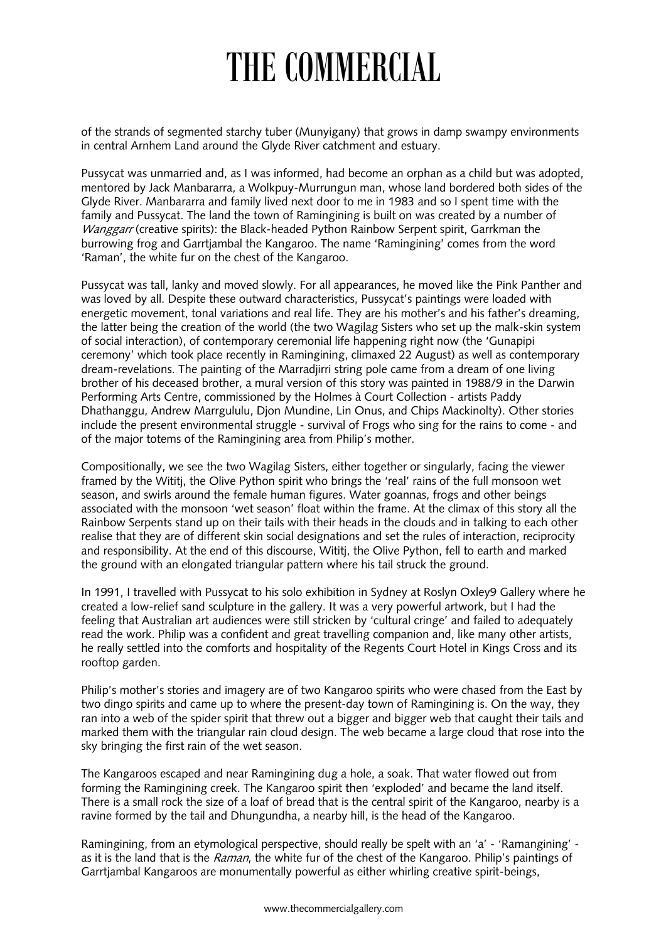## THE COMMERCIAL

of the strands of segmented starchy tuber (Munyigany) that grows in damp swampy environments in central Arnhem Land around the Glyde River catchment and estuary.

Pussycat was unmarried and, as I was informed, had become an orphan as a child but was adopted, mentored by Jack Manbararra, a Wolkpuy-Murrungun man, whose land bordered both sides of the Glyde River. Manbararra and family lived next door to me in 1983 and so I spent time with the family and Pussycat. The land the town of Ramingining is built on was created by a number of Wanggarr (creative spirits): the Black-headed Python Rainbow Serpent spirit, Garrkman the burrowing frog and Garrtjambal the Kangaroo. The name 'Ramingining' comes from the word 'Raman', the white fur on the chest of the Kangaroo.

Pussycat was tall, lanky and moved slowly. For all appearances, he moved like the Pink Panther and was loved by all. Despite these outward characteristics, Pussycat's paintings were loaded with energetic movement, tonal variations and real life. They are his mother's and his father's dreaming, the latter being the creation of the world (the two Wagilag Sisters who set up the malk-skin system of social interaction), of contemporary ceremonial life happening right now (the 'Gunapipi ceremony' which took place recently in Ramingining, climaxed 22 August) as well as contemporary dream-revelations. The painting of the Marradjirri string pole came from a dream of one living brother of his deceased brother, a mural version of this story was painted in 1988/9 in the Darwin Performing Arts Centre, commissioned by the Holmes à Court Collection - artists Paddy Dhathanggu, Andrew Marrgululu, Djon Mundine, Lin Onus, and Chips Mackinolty). Other stories include the present environmental struggle - survival of Frogs who sing for the rains to come - and of the major totems of the Ramingining area from Philip's mother.

Compositionally, we see the two Wagilag Sisters, either together or singularly, facing the viewer framed by the Wititj, the Olive Python spirit who brings the 'real' rains of the full monsoon wet season, and swirls around the female human figures. Water goannas, frogs and other beings associated with the monsoon 'wet season' float within the frame. At the climax of this story all the Rainbow Serpents stand up on their tails with their heads in the clouds and in talking to each other realise that they are of different skin social designations and set the rules of interaction, reciprocity and responsibility. At the end of this discourse, Wititj, the Olive Python, fell to earth and marked the ground with an elongated triangular pattern where his tail struck the ground.

In 1991, I travelled with Pussycat to his solo exhibition in Sydney at Roslyn Oxley9 Gallery where he created a low-relief sand sculpture in the gallery. It was a very powerful artwork, but I had the feeling that Australian art audiences were still stricken by 'cultural cringe' and failed to adequately read the work. Philip was a confident and great travelling companion and, like many other artists, he really settled into the comforts and hospitality of the Regents Court Hotel in Kings Cross and its rooftop garden.

Philip's mother's stories and imagery are of two Kangaroo spirits who were chased from the East by two dingo spirits and came up to where the present-day town of Ramingining is. On the way, they ran into a web of the spider spirit that threw out a bigger and bigger web that caught their tails and marked them with the triangular rain cloud design. The web became a large cloud that rose into the sky bringing the first rain of the wet season.

The Kangaroos escaped and near Ramingining dug a hole, a soak. That water flowed out from forming the Ramingining creek. The Kangaroo spirit then 'exploded' and became the land itself. There is a small rock the size of a loaf of bread that is the central spirit of the Kangaroo, nearby is a ravine formed by the tail and Dhungundha, a nearby hill, is the head of the Kangaroo.

Ramingining, from an etymological perspective, should really be spelt with an 'a' - 'Ramangining' as it is the land that is the Raman, the white fur of the chest of the Kangaroo. Philip's paintings of Garrtjambal Kangaroos are monumentally powerful as either whirling creative spirit-beings,